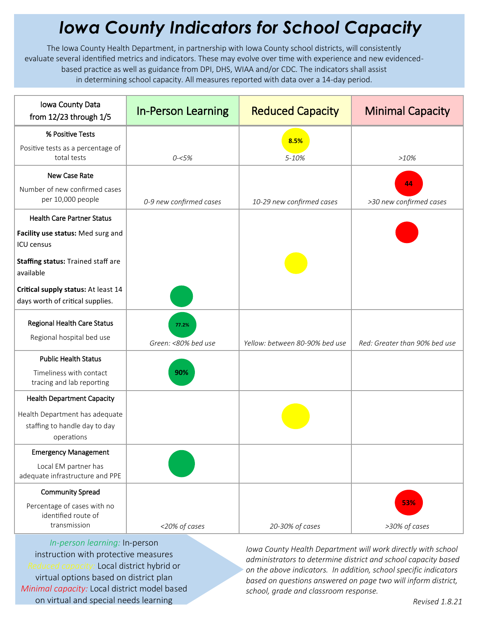## *Iowa County Indicators for School Capacity*

The Iowa County Health Department, in partnership with Iowa County school districts, will consistently evaluate several identified metrics and indicators. These may evolve over time with experience and new evidencedbased practice as well as guidance from DPI, DHS, WIAA and/or CDC. The indicators shall assist in determining school capacity. All measures reported with data over a 14-day period.

| Iowa County Data<br>from $12/23$ through $1/5$                                | <b>In-Person Learning</b>    | <b>Reduced Capacity</b>        | <b>Minimal Capacity</b>       |
|-------------------------------------------------------------------------------|------------------------------|--------------------------------|-------------------------------|
| % Positive Tests                                                              |                              | 8.5%                           |                               |
| Positive tests as a percentage of<br>total tests                              | $0 - 5%$                     | 5-10%                          | $>10\%$                       |
| <b>New Case Rate</b>                                                          |                              |                                |                               |
| Number of new confirmed cases<br>per 10,000 people                            | 0-9 new confirmed cases      | 10-29 new confirmed cases      | 44<br>>30 new confirmed cases |
| <b>Health Care Partner Status</b>                                             |                              |                                |                               |
| Facility use status: Med surg and<br>ICU census                               |                              |                                |                               |
| Staffing status: Trained staff are<br>available                               |                              |                                |                               |
| Critical supply status: At least 14<br>days worth of critical supplies.       |                              |                                |                               |
| <b>Regional Health Care Status</b><br>Regional hospital bed use               | 77.2%<br>Green: <80% bed use | Yellow: between 80-90% bed use | Red: Greater than 90% bed use |
| <b>Public Health Status</b>                                                   |                              |                                |                               |
| Timeliness with contact<br>tracing and lab reporting                          | 90%                          |                                |                               |
| <b>Health Department Capacity</b>                                             |                              |                                |                               |
| Health Department has adequate<br>staffing to handle day to day<br>operations |                              |                                |                               |
| <b>Emergency Management</b>                                                   |                              |                                |                               |
| Local EM partner has<br>adequate infrastructure and PPE                       |                              |                                |                               |
| <b>Community Spread</b>                                                       |                              |                                |                               |
| Percentage of cases with no<br>identified route of<br>transmission            | <20% of cases                | 20-30% of cases                | 53%<br>>30% of cases          |

*In-person learning:* In-person instruction with protective measures *Reduced capacity:* Local district hybrid or virtual options based on district plan *Minimal capacity:* Local district model based on virtual and special needs learning

*Iowa County Health Department will work directly with school administrators to determine district and school capacity based on the above indicators. In addition, school specific indicators based on questions answered on page two will inform district, school, grade and classroom response.*